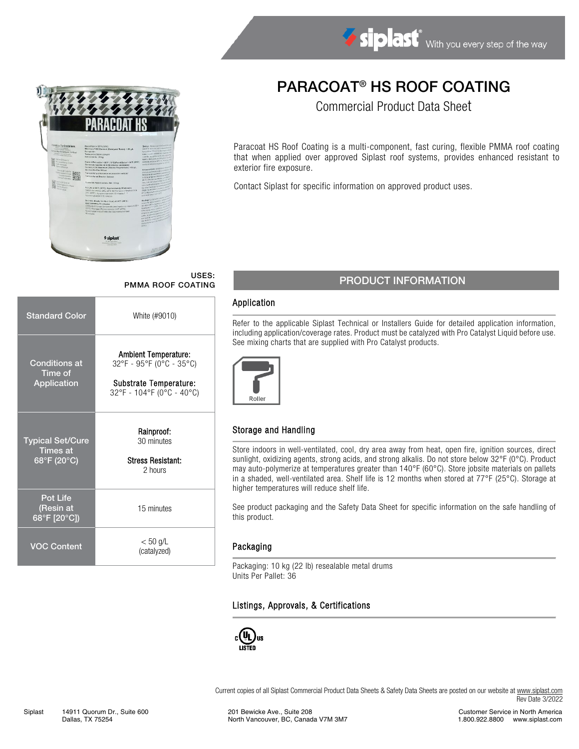

# PARACOAT® HS ROOF COATING

Commercial Product Data Sheet

Paracoat HS Roof Coating is a multi-component, fast curing, flexible PMMA roof coating that when applied over approved Siplast roof systems, provides enhanced resistant to exterior fire exposure.

Contact Siplast for specific information on approved product uses.

# USES:

| <b>Standard Color</b>                                     | White (#9010)                                                                                                  |  |  |  |  |  |  |
|-----------------------------------------------------------|----------------------------------------------------------------------------------------------------------------|--|--|--|--|--|--|
| <b>Conditions at</b><br>Time of<br>Application            | <b>Ambient Temperature:</b><br>32°F - 95°F (0°C - 35°C)<br>Substrate Temperature:<br>32°F - 104°F (0°C - 40°C) |  |  |  |  |  |  |
| <b>Typical Set/Cure</b><br><b>Times at</b><br>68°F (20°C) | Rainproof:<br>30 minutes<br><b>Stress Resistant:</b><br>2 hours                                                |  |  |  |  |  |  |
| <b>Pot Life</b><br>(Resin at<br>68°F [20°C])              | 15 minutes                                                                                                     |  |  |  |  |  |  |
| <b>VOC Content</b>                                        | $< 50$ g/L<br>(catalyzed)                                                                                      |  |  |  |  |  |  |

# USES:<br>PMMA ROOF COATING PRODUCT INFORMATION

### Application

Refer to the applicable Siplast Technical or Installers Guide for detailed application information, including application/coverage rates. Product must be catalyzed with Pro Catalyst Liquid before use. See mixing charts that are supplied with Pro Catalyst products.



### Storage and Handling

Store indoors in well-ventilated, cool, dry area away from heat, open fire, ignition sources, direct sunlight, oxidizing agents, strong acids, and strong alkalis. Do not store below 32°F (0°C). Product may auto-polymerize at temperatures greater than 140°F (60°C). Store jobsite materials on pallets in a shaded, well-ventilated area. Shelf life is 12 months when stored at 77°F (25°C). Storage at higher temperatures will reduce shelf life.

See product packaging and the Safety Data Sheet for specific information on the safe handling of this product.

### Packaging

Packaging: 10 kg (22 lb) resealable metal drums Units Per Pallet: 36

### Listings, Approvals, & Certifications



Current copies of all Siplast Commercial Product Data Sheets & Safety Data Sheets are posted on our website a[t www.siplast.com](http://www.siplast.com/) Rev Date 3/2022